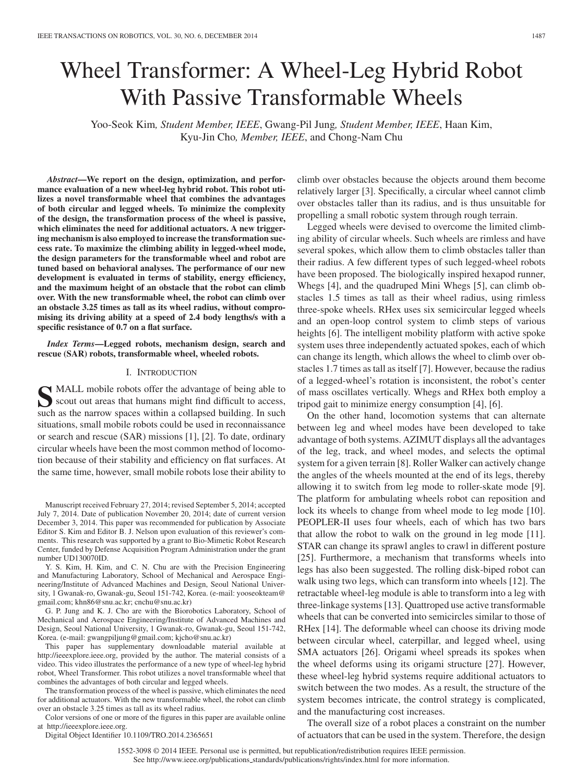# Wheel Transformer: A Wheel-Leg Hybrid Robot With Passive Transformable Wheels

Yoo-Seok Kim*, Student Member, IEEE*, Gwang-Pil Jung*, Student Member, IEEE*, Haan Kim, Kyu-Jin Cho*, Member, IEEE*, and Chong-Nam Chu

*Abstract***—We report on the design, optimization, and performance evaluation of a new wheel-leg hybrid robot. This robot utilizes a novel transformable wheel that combines the advantages of both circular and legged wheels. To minimize the complexity of the design, the transformation process of the wheel is passive, which eliminates the need for additional actuators. A new triggering mechanism is also employed to increase the transformation success rate. To maximize the climbing ability in legged-wheel mode, the design parameters for the transformable wheel and robot are tuned based on behavioral analyses. The performance of our new development is evaluated in terms of stability, energy efficiency, and the maximum height of an obstacle that the robot can climb over. With the new transformable wheel, the robot can climb over an obstacle 3.25 times as tall as its wheel radius, without compromising its driving ability at a speed of 2.4 body lengths/s with a specific resistance of 0.7 on a flat surface.**

*Index Terms***—Legged robots, mechanism design, search and rescue (SAR) robots, transformable wheel, wheeled robots.**

## I. INTRODUCTION

**S** MALL mobile robots offer the advantage of being able to<br>scout out areas that humans might find difficult to access, such as the narrow spaces within a collapsed building. In such situations, small mobile robots could be used in reconnaissance or search and rescue (SAR) missions [1], [2]. To date, ordinary circular wheels have been the most common method of locomotion because of their stability and efficiency on flat surfaces. At the same time, however, small mobile robots lose their ability to

Manuscript received February 27, 2014; revised September 5, 2014; accepted July 7, 2014. Date of publication November 20, 2014; date of current version December 3, 2014. This paper was recommended for publication by Associate Editor S. Kim and Editor B. J. Nelson upon evaluation of this reviewer's comments. This research was supported by a grant to Bio-Mimetic Robot Research Center, funded by Defense Acquisition Program Administration under the grant number UD130070ID.

Y. S. Kim, H. Kim, and C. N. Chu are with the Precision Engineering and Manufacturing Laboratory, School of Mechanical and Aerospace Engineering/Institute of Advanced Machines and Design, Seoul National University, 1 Gwanak-ro, Gwanak-gu, Seoul 151-742, Korea. (e-mail: yooseokteam@ gmail.com; khn86@snu.ac.kr; cnchu@snu.ac.kr)

G. P. Jung and K. J. Cho are with the Biorobotics Laboratory, School of Mechanical and Aerospace Engineering/Institute of Advanced Machines and Design, Seoul National University, 1 Gwanak-ro, Gwanak-gu, Seoul 151-742, Korea. (e-mail: gwangpiljung@gmail.com; kjcho@snu.ac.kr)

This paper has supplementary downloadable material available at http://ieeexplore.ieee.org, provided by the author. The material consists of a video. This video illustrates the performance of a new type of wheel-leg hybrid robot, Wheel Transformer. This robot utilizes a novel transformable wheel that combines the advantages of both circular and legged wheels.

The transformation process of the wheel is passive, which eliminates the need for additional actuators. With the new transformable wheel, the robot can climb over an obstacle 3.25 times as tall as its wheel radius.

Color versions of one or more of the figures in this paper are available online at http://ieeexplore.ieee.org.

Digital Object Identifier 10.1109/TRO.2014.2365651

climb over obstacles because the objects around them become relatively larger [3]. Specifically, a circular wheel cannot climb over obstacles taller than its radius, and is thus unsuitable for propelling a small robotic system through rough terrain.

Legged wheels were devised to overcome the limited climbing ability of circular wheels. Such wheels are rimless and have several spokes, which allow them to climb obstacles taller than their radius. A few different types of such legged-wheel robots have been proposed. The biologically inspired hexapod runner, Whegs [4], and the quadruped Mini Whegs [5], can climb obstacles 1.5 times as tall as their wheel radius, using rimless three-spoke wheels. RHex uses six semicircular legged wheels and an open-loop control system to climb steps of various heights [6]. The intelligent mobility platform with active spoke system uses three independently actuated spokes, each of which can change its length, which allows the wheel to climb over obstacles 1.7 times as tall as itself [7]. However, because the radius of a legged-wheel's rotation is inconsistent, the robot's center of mass oscillates vertically. Whegs and RHex both employ a tripod gait to minimize energy consumption [4], [6].

On the other hand, locomotion systems that can alternate between leg and wheel modes have been developed to take advantage of both systems. AZIMUT displays all the advantages of the leg, track, and wheel modes, and selects the optimal system for a given terrain [8]. Roller Walker can actively change the angles of the wheels mounted at the end of its legs, thereby allowing it to switch from leg mode to roller-skate mode [9]. The platform for ambulating wheels robot can reposition and lock its wheels to change from wheel mode to leg mode [10]. PEOPLER-II uses four wheels, each of which has two bars that allow the robot to walk on the ground in leg mode [11]. STAR can change its sprawl angles to crawl in different posture [25]. Furthermore, a mechanism that transforms wheels into legs has also been suggested. The rolling disk-biped robot can walk using two legs, which can transform into wheels [12]. The retractable wheel-leg module is able to transform into a leg with three-linkage systems [13]. Quattroped use active transformable wheels that can be converted into semicircles similar to those of RHex [14]. The deformable wheel can choose its driving mode between circular wheel, caterpillar, and legged wheel, using SMA actuators [26]. Origami wheel spreads its spokes when the wheel deforms using its origami structure [27]. However, these wheel-leg hybrid systems require additional actuators to switch between the two modes. As a result, the structure of the system becomes intricate, the control strategy is complicated, and the manufacturing cost increases.

The overall size of a robot places a constraint on the number of actuators that can be used in the system. Therefore, the design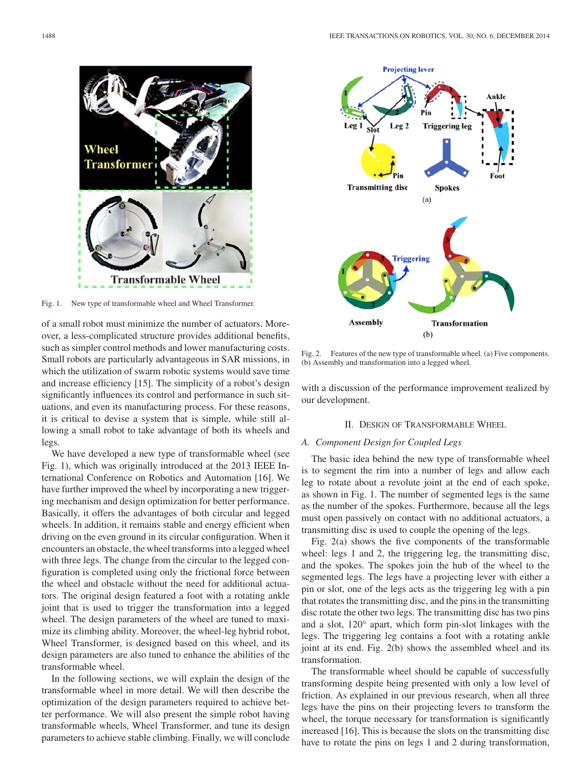

Fig. 1. New type of transformable wheel and Wheel Transformer.

of a small robot must minimize the number of actuators. Moreover, a less-complicated structure provides additional benefits, such as simpler control methods and lower manufacturing costs. Small robots are particularly advantageous in SAR missions, in which the utilization of swarm robotic systems would save time and increase efficiency [15]. The simplicity of a robot's design significantly influences its control and performance in such situations, and even its manufacturing process. For these reasons, it is critical to devise a system that is simple, while still allowing a small robot to take advantage of both its wheels and legs.

We have developed a new type of transformable wheel (see Fig. 1), which was originally introduced at the 2013 IEEE International Conference on Robotics and Automation [16]. We have further improved the wheel by incorporating a new triggering mechanism and design optimization for better performance. Basically, it offers the advantages of both circular and legged wheels. In addition, it remains stable and energy efficient when driving on the even ground in its circular configuration. When it encounters an obstacle, the wheel transforms into a legged wheel with three legs. The change from the circular to the legged configuration is completed using only the frictional force between the wheel and obstacle without the need for additional actuators. The original design featured a foot with a rotating ankle joint that is used to trigger the transformation into a legged wheel. The design parameters of the wheel are tuned to maximize its climbing ability. Moreover, the wheel-leg hybrid robot, Wheel Transformer, is designed based on this wheel, and its design parameters are also tuned to enhance the abilities of the transformable wheel.

In the following sections, we will explain the design of the transformable wheel in more detail. We will then describe the optimization of the design parameters required to achieve better performance. We will also present the simple robot having transformable wheels, Wheel Transformer, and tune its design parameters to achieve stable climbing. Finally, we will conclude



Fig. 2. Features of the new type of transformable wheel. (a) Five components. (b) Assembly and transformation into a legged wheel.

with a discussion of the performance improvement realized by our development.

### II. DESIGN OF TRANSFORMABLE WHEEL

#### *A. Component Design for Coupled Legs*

The basic idea behind the new type of transformable wheel is to segment the rim into a number of legs and allow each leg to rotate about a revolute joint at the end of each spoke, as shown in Fig. 1. The number of segmented legs is the same as the number of the spokes. Furthermore, because all the legs must open passively on contact with no additional actuators, a transmitting disc is used to couple the opening of the legs.

Fig. 2(a) shows the five components of the transformable wheel: legs 1 and 2, the triggering leg, the transmitting disc, and the spokes. The spokes join the hub of the wheel to the segmented legs. The legs have a projecting lever with either a pin or slot, one of the legs acts as the triggering leg with a pin that rotates the transmitting disc, and the pins in the transmitting disc rotate the other two legs. The transmitting disc has two pins and a slot, 120° apart, which form pin-slot linkages with the legs. The triggering leg contains a foot with a rotating ankle joint at its end. Fig. 2(b) shows the assembled wheel and its transformation.

The transformable wheel should be capable of successfully transforming despite being presented with only a low level of friction. As explained in our previous research, when all three legs have the pins on their projecting levers to transform the wheel, the torque necessary for transformation is significantly increased [16]. This is because the slots on the transmitting disc have to rotate the pins on legs 1 and 2 during transformation,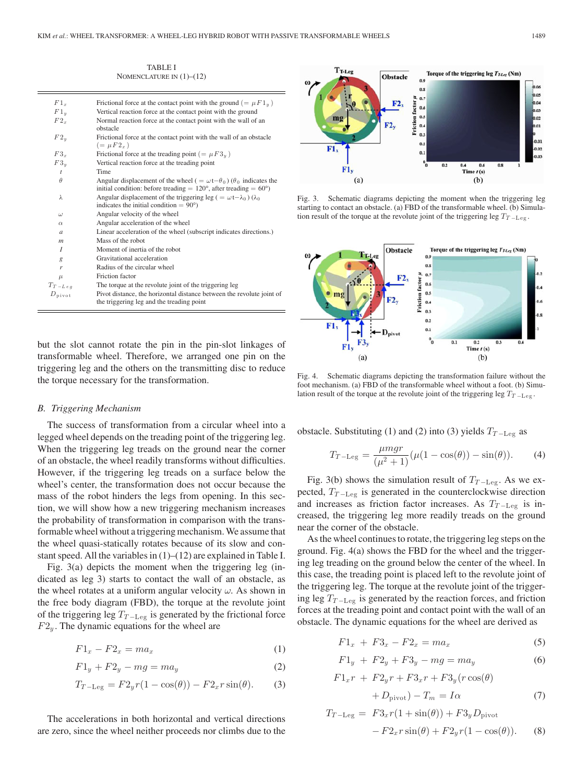| $F1_x$             | Frictional force at the contact point with the ground ( $=\mu F 1_u$ )                                                                                                          |
|--------------------|---------------------------------------------------------------------------------------------------------------------------------------------------------------------------------|
| $F1_u$             | Vertical reaction force at the contact point with the ground                                                                                                                    |
| $F2_x$             | Normal reaction force at the contact point with the wall of an<br>obstacle                                                                                                      |
| $F2_u$             | Frictional force at the contact point with the wall of an obstacle<br>$(=\mu F2_x)$                                                                                             |
| $F3_r$             | Frictional force at the treading point ( $=\mu F3_u$ )                                                                                                                          |
| $F3_u$             | Vertical reaction force at the treading point                                                                                                                                   |
| $\boldsymbol{t}$   | Time                                                                                                                                                                            |
| $\theta$           | Angular displacement of the wheel ( $=\omega t - \theta_0$ ) ( $\theta_0$ indicates the<br>initial condition: before treading $= 120^{\circ}$ , after treading $= 60^{\circ}$ ) |
| λ                  | Angular displacement of the triggering leg ( $=\omega t - \lambda_0$ ) ( $\lambda_0$ )<br>indicates the initial condition $= 90^{\circ}$ )                                      |
| $\omega$           | Angular velocity of the wheel                                                                                                                                                   |
| $\alpha$           | Angular acceleration of the wheel                                                                                                                                               |
| $\mathfrak a$      | Linear acceleration of the wheel (subscript indicates directions.)                                                                                                              |
| $\mathfrak{m}$     | Mass of the robot                                                                                                                                                               |
| I                  | Moment of inertia of the robot                                                                                                                                                  |
| g                  | Gravitational acceleration                                                                                                                                                      |
| r                  | Radius of the circular wheel                                                                                                                                                    |
| $\mu$              | Friction factor                                                                                                                                                                 |
| $T_{T-L}$          | The torque at the revolute joint of the triggering leg                                                                                                                          |
| $D_{\text{pivot}}$ | Pivot distance, the horizontal distance between the revolute joint of<br>the triggering leg and the treading point                                                              |

TABLE I NOMENCLATURE IN (1)–(12)

but the slot cannot rotate the pin in the pin-slot linkages of transformable wheel. Therefore, we arranged one pin on the triggering leg and the others on the transmitting disc to reduce the torque necessary for the transformation.

#### *B. Triggering Mechanism*

The success of transformation from a circular wheel into a legged wheel depends on the treading point of the triggering leg. When the triggering leg treads on the ground near the corner of an obstacle, the wheel readily transforms without difficulties. However, if the triggering leg treads on a surface below the wheel's center, the transformation does not occur because the mass of the robot hinders the legs from opening. In this section, we will show how a new triggering mechanism increases the probability of transformation in comparison with the transformable wheel without a triggering mechanism. We assume that the wheel quasi-statically rotates because of its slow and constant speed. All the variables in (1)–(12) are explained in Table I.

Fig. 3(a) depicts the moment when the triggering leg (indicated as leg 3) starts to contact the wall of an obstacle, as the wheel rotates at a uniform angular velocity  $\omega$ . As shown in the free body diagram (FBD), the torque at the revolute joint of the triggering leg  $T_{T-\text{Leg}}$  is generated by the frictional force  $F2_y$ . The dynamic equations for the wheel are

$$
F1_x - F2_x = ma_x \tag{1}
$$

$$
F1_y + F2_y - mg = ma_y \tag{2}
$$

$$
T_{T-\text{Leg}} = F2_y r (1 - \cos(\theta)) - F2_x r \sin(\theta). \tag{3}
$$

The accelerations in both horizontal and vertical directions are zero, since the wheel neither proceeds nor climbs due to the



Fig. 3. Schematic diagrams depicting the moment when the triggering leg starting to contact an obstacle. (a) FBD of the transformable wheel. (b) Simulation result of the torque at the revolute joint of the triggering leg  $T_{T-\text{Lee}}$ .



Fig. 4. Schematic diagrams depicting the transformation failure without the foot mechanism. (a) FBD of the transformable wheel without a foot. (b) Simulation result of the torque at the revolute joint of the triggering leg  $T_{T-\text{Leg}}$ .

obstacle. Substituting (1) and (2) into (3) yields  $T_{T-\text{Leg}}$  as

$$
T_{T-\text{Leg}} = \frac{\mu mgr}{(\mu^2 + 1)} (\mu (1 - \cos(\theta)) - \sin(\theta)). \tag{4}
$$

Fig. 3(b) shows the simulation result of  $T_{T-\text{Leg}}$ . As we expected,  $T_{T-\text{Leg}}$  is generated in the counterclockwise direction and increases as friction factor increases. As  $T_{T-\text{Leg}}$  is increased, the triggering leg more readily treads on the ground near the corner of the obstacle.

As the wheel continues to rotate, the triggering leg steps on the ground. Fig. 4(a) shows the FBD for the wheel and the triggering leg treading on the ground below the center of the wheel. In this case, the treading point is placed left to the revolute joint of the triggering leg. The torque at the revolute joint of the triggering leg  $T_{T-\text{Leg}}$  is generated by the reaction forces, and friction forces at the treading point and contact point with the wall of an obstacle. The dynamic equations for the wheel are derived as

$$
F1_x + F3_x - F2_x = ma_x \tag{5}
$$

$$
F1_y + F2_y + F3_y - mg = ma_y \tag{6}
$$

$$
F1_x r + F2_y r + F3_x r + F3_y (r \cos(\theta) + D_{\text{pivot}}) - T_m = I\alpha
$$
 (7)

$$
T_{T-\text{Leg}} = F3_x r (1 + \sin(\theta)) + F3_y D_{\text{pivot}}
$$

$$
- F2_x r \sin(\theta) + F2_y r (1 - \cos(\theta)). \tag{8}
$$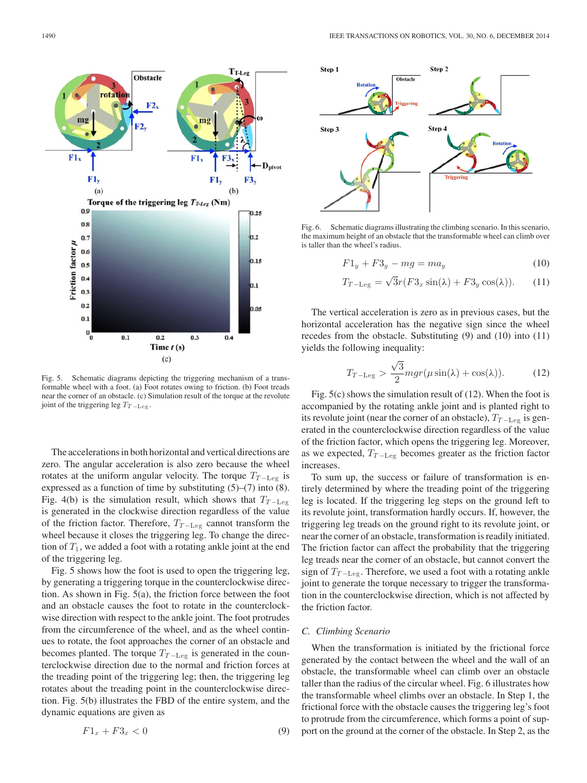

Fig. 5. Schematic diagrams depicting the triggering mechanism of a transformable wheel with a foot. (a) Foot rotates owing to friction. (b) Foot treads near the corner of an obstacle. (c) Simulation result of the torque at the revolute joint of the triggering leg  $T_{T-\text{Leg}}$ .

The accelerations in both horizontal and vertical directions are zero. The angular acceleration is also zero because the wheel rotates at the uniform angular velocity. The torque  $T_{T-\text{Leg}}$  is expressed as a function of time by substituting (5)–(7) into (8). Fig. 4(b) is the simulation result, which shows that  $T_{T-\text{Leg}}$ is generated in the clockwise direction regardless of the value of the friction factor. Therefore,  $T_{T-\text{Leg}}$  cannot transform the wheel because it closes the triggering leg. To change the direction of  $T_1$ , we added a foot with a rotating ankle joint at the end of the triggering leg.

Fig. 5 shows how the foot is used to open the triggering leg, by generating a triggering torque in the counterclockwise direction. As shown in Fig. 5(a), the friction force between the foot and an obstacle causes the foot to rotate in the counterclockwise direction with respect to the ankle joint. The foot protrudes from the circumference of the wheel, and as the wheel continues to rotate, the foot approaches the corner of an obstacle and becomes planted. The torque  $T_{T-\text{Leg}}$  is generated in the counterclockwise direction due to the normal and friction forces at the treading point of the triggering leg; then, the triggering leg rotates about the treading point in the counterclockwise direction. Fig. 5(b) illustrates the FBD of the entire system, and the dynamic equations are given as





Fig. 6. Schematic diagrams illustrating the climbing scenario. In this scenario, the maximum height of an obstacle that the transformable wheel can climb over is taller than the wheel's radius.

$$
F1_y + F3_y - mg = ma_y \tag{10}
$$

$$
T_{T-\text{Leg}} = \sqrt{3}r(F3_x\sin(\lambda) + F3_y\cos(\lambda)).\tag{11}
$$

The vertical acceleration is zero as in previous cases, but the horizontal acceleration has the negative sign since the wheel recedes from the obstacle. Substituting (9) and (10) into (11) yields the following inequality:

$$
T_{T-\text{Leg}} > \frac{\sqrt{3}}{2} mgr(\mu \sin(\lambda) + \cos(\lambda)).\tag{12}
$$

Fig. 5(c) shows the simulation result of (12). When the foot is accompanied by the rotating ankle joint and is planted right to its revolute joint (near the corner of an obstacle),  $T_{T-\text{Leg}}$  is generated in the counterclockwise direction regardless of the value of the friction factor, which opens the triggering leg. Moreover, as we expected,  $T_{T-\text{Leg}}$  becomes greater as the friction factor increases.

To sum up, the success or failure of transformation is entirely determined by where the treading point of the triggering leg is located. If the triggering leg steps on the ground left to its revolute joint, transformation hardly occurs. If, however, the triggering leg treads on the ground right to its revolute joint, or near the corner of an obstacle, transformation is readily initiated. The friction factor can affect the probability that the triggering leg treads near the corner of an obstacle, but cannot convert the sign of  $T_{T-\text{Leg}}$ . Therefore, we used a foot with a rotating ankle joint to generate the torque necessary to trigger the transformation in the counterclockwise direction, which is not affected by the friction factor.

# *C. Climbing Scenario*

When the transformation is initiated by the frictional force generated by the contact between the wheel and the wall of an obstacle, the transformable wheel can climb over an obstacle taller than the radius of the circular wheel. Fig. 6 illustrates how the transformable wheel climbs over an obstacle. In Step 1, the frictional force with the obstacle causes the triggering leg's foot to protrude from the circumference, which forms a point of support on the ground at the corner of the obstacle. In Step 2, as the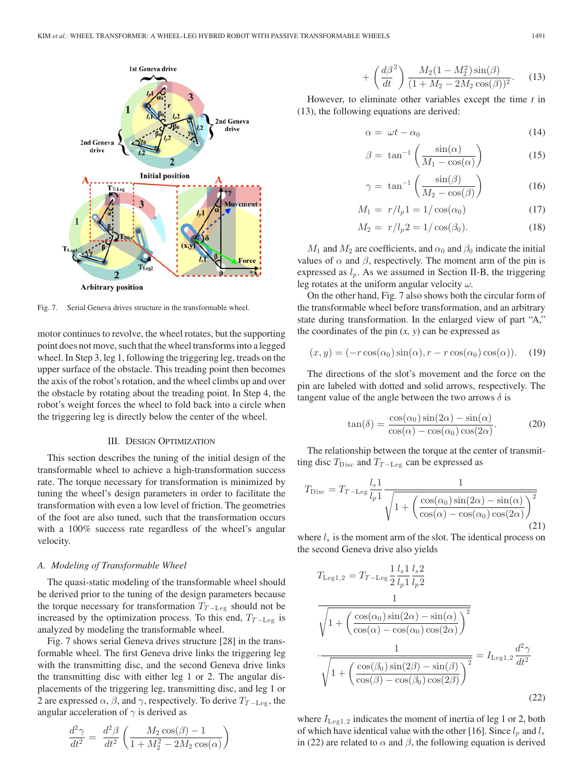

Fig. 7. Serial Geneva drives structure in the transformable wheel.

motor continues to revolve, the wheel rotates, but the supporting point does not move, such that the wheel transforms into a legged wheel. In Step 3, leg 1, following the triggering leg, treads on the upper surface of the obstacle. This treading point then becomes the axis of the robot's rotation, and the wheel climbs up and over the obstacle by rotating about the treading point. In Step 4, the robot's weight forces the wheel to fold back into a circle when the triggering leg is directly below the center of the wheel.

# III. DESIGN OPTIMIZATION

This section describes the tuning of the initial design of the transformable wheel to achieve a high-transformation success rate. The torque necessary for transformation is minimized by tuning the wheel's design parameters in order to facilitate the transformation with even a low level of friction. The geometries of the foot are also tuned, such that the transformation occurs with a 100% success rate regardless of the wheel's angular velocity.

#### *A. Modeling of Transformable Wheel*

The quasi-static modeling of the transformable wheel should be derived prior to the tuning of the design parameters because the torque necessary for transformation  $T_{T-\text{Leg}}$  should not be increased by the optimization process. To this end,  $T_{T-\text{Leg}}$  is analyzed by modeling the transformable wheel.

Fig. 7 shows serial Geneva drives structure [28] in the transformable wheel. The first Geneva drive links the triggering leg with the transmitting disc, and the second Geneva drive links the transmitting disc with either leg 1 or 2. The angular displacements of the triggering leg, transmitting disc, and leg 1 or 2 are expressed  $\alpha$ ,  $\beta$ , and  $\gamma$ , respectively. To derive  $T_{T-\text{Leg}}$ , the angular acceleration of  $\gamma$  is derived as

$$
\frac{d^2\gamma}{dt^2} = \frac{d^2\beta}{dt^2} \left( \frac{M_2 \cos(\beta) - 1}{1 + M_2^2 - 2M_2 \cos(\alpha)} \right)
$$

$$
+\left(\frac{d\beta^2}{dt}\right)\frac{M_2(1-M_2^2)\sin(\beta)}{(1+M_2-2M_2\cos(\beta))^2}.\tag{13}
$$

However, to eliminate other variables except the time *t* in (13), the following equations are derived:

$$
\alpha = \omega t - \alpha_0 \tag{14}
$$

$$
\beta = \tan^{-1}\left(\frac{\sin(\alpha)}{M_1 - \cos(\alpha)}\right) \tag{15}
$$

$$
\gamma = \tan^{-1}\left(\frac{\sin(\beta)}{M_2 - \cos(\beta)}\right) \tag{16}
$$

$$
M_1 = r/l_p 1 = 1/\cos(\alpha_0)
$$
 (17)

$$
M_2 = r/l_p 2 = 1/\cos(\beta_0). \tag{18}
$$

 $M_1$  and  $M_2$  are coefficients, and  $\alpha_0$  and  $\beta_0$  indicate the initial values of  $\alpha$  and  $\beta$ , respectively. The moment arm of the pin is expressed as  $l_p$ . As we assumed in Section II-B, the triggering leg rotates at the uniform angular velocity  $\omega$ .

On the other hand, Fig. 7 also shows both the circular form of the transformable wheel before transformation, and an arbitrary state during transformation. In the enlarged view of part "A," the coordinates of the pin  $(x, y)$  can be expressed as

$$
(x, y) = (-r\cos(\alpha_0)\sin(\alpha), r - r\cos(\alpha_0)\cos(\alpha)).
$$
 (19)

The directions of the slot's movement and the force on the pin are labeled with dotted and solid arrows, respectively. The tangent value of the angle between the two arrows  $\delta$  is

$$
\tan(\delta) = \frac{\cos(\alpha_0)\sin(2\alpha) - \sin(\alpha)}{\cos(\alpha) - \cos(\alpha_0)\cos(2\alpha)}.
$$
 (20)

The relationship between the torque at the center of transmitting disc  $T_{\text{Disc}}$  and  $T_{T-\text{Leg}}$  can be expressed as

$$
T_{\text{Disc}} = T_{T-\text{Leg}} \frac{l_s 1}{l_p 1} \frac{1}{\sqrt{1 + \left(\frac{\cos(\alpha_0)\sin(2\alpha) - \sin(\alpha)}{\cos(\alpha) - \cos(\alpha_0)\cos(2\alpha)}\right)^2}}
$$
(21)

where  $l_s$  is the moment arm of the slot. The identical process on the second Geneva drive also yields

$$
T_{\text{Leg1,2}} = T_{T-\text{Leg}} \frac{1}{2} \frac{l_s 1}{l_p 1} \frac{l_s 2}{l_p 2}
$$
  

$$
\frac{1}{\sqrt{1 + \left(\frac{\cos(\alpha_0)\sin(2\alpha) - \sin(\alpha)}{\cos(\alpha) - \cos(\alpha_0)\cos(2\alpha)}\right)^2}}
$$
  

$$
\frac{1}{\sqrt{1 + \left(\frac{\cos(\beta_0)\sin(2\beta) - \sin(\beta)}{\cos(\beta) - \cos(\beta_0)\cos(2\beta)}\right)^2}} = I_{\text{Leg1,2}} \frac{d^2 \gamma}{dt^2}
$$
(22)

where  $I_{\text{Leg 1,2}}$  indicates the moment of inertia of leg 1 or 2, both of which have identical value with the other [16]. Since  $l_p$  and  $l_s$ in (22) are related to  $\alpha$  and  $\beta$ , the following equation is derived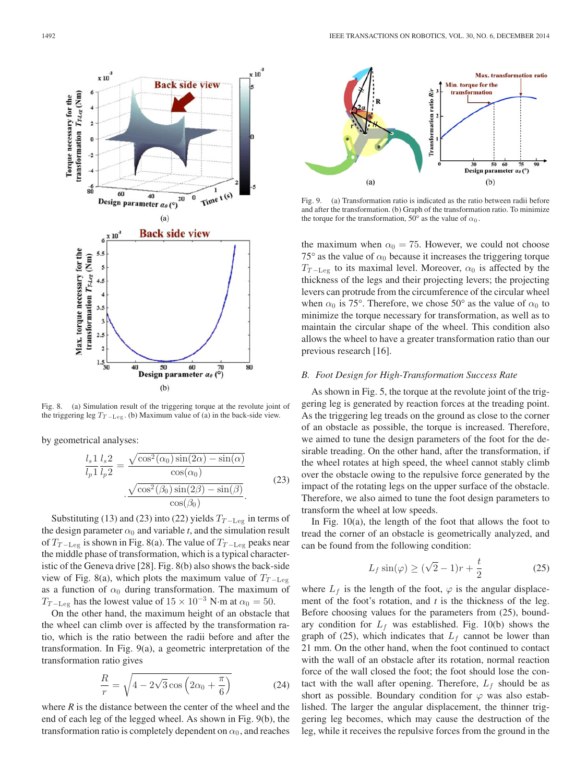

Fig. 8. (a) Simulation result of the triggering torque at the revolute joint of the triggering leg  $T_{T-\text{Leg}}$ . (b) Maximum value of (a) in the back-side view.

by geometrical analyses:

$$
\frac{l_s 1}{l_p 1} \frac{l_s 2}{l_p 2} = \frac{\sqrt{\cos^2(\alpha_0) \sin(2\alpha) - \sin(\alpha)}}{\cos(\alpha_0)}
$$

$$
\frac{\sqrt{\cos^2(\beta_0) \sin(2\beta) - \sin(\beta)}}{\cos(\beta_0)}.
$$
(23)

Substituting (13) and (23) into (22) yields  $T_{T-\text{Leg}}$  in terms of the design parameter  $\alpha_0$  and variable *t*, and the simulation result of  $T_{T-\text{Leg}}$  is shown in Fig. 8(a). The value of  $T_{T-\text{Leg}}$  peaks near the middle phase of transformation, which is a typical characteristic of the Geneva drive [28]. Fig. 8(b) also shows the back-side view of Fig. 8(a), which plots the maximum value of  $T_{T-\text{Leg}}$ as a function of  $\alpha_0$  during transformation. The maximum of  $T_{T-\text{Leg}}$  has the lowest value of  $15 \times 10^{-3}$  N·m at  $\alpha_0 = 50$ .

On the other hand, the maximum height of an obstacle that the wheel can climb over is affected by the transformation ratio, which is the ratio between the radii before and after the transformation. In Fig. 9(a), a geometric interpretation of the transformation ratio gives

$$
\frac{R}{r} = \sqrt{4 - 2\sqrt{3}\cos\left(2\alpha_0 + \frac{\pi}{6}\right)}\tag{24}
$$

where  $R$  is the distance between the center of the wheel and the end of each leg of the legged wheel. As shown in Fig. 9(b), the transformation ratio is completely dependent on  $\alpha_0$ , and reaches



Fig. 9. (a) Transformation ratio is indicated as the ratio between radii before and after the transformation. (b) Graph of the transformation ratio. To minimize the torque for the transformation, 50° as the value of  $\alpha_0$ .

the maximum when  $\alpha_0 = 75$ . However, we could not choose 75° as the value of  $\alpha_0$  because it increases the triggering torque  $T_{T-\text{Leg}}$  to its maximal level. Moreover,  $\alpha_0$  is affected by the thickness of the legs and their projecting levers; the projecting levers can protrude from the circumference of the circular wheel when  $\alpha_0$  is 75°. Therefore, we chose 50° as the value of  $\alpha_0$  to minimize the torque necessary for transformation, as well as to maintain the circular shape of the wheel. This condition also allows the wheel to have a greater transformation ratio than our previous research [16].

## *B. Foot Design for High-Transformation Success Rate*

As shown in Fig. 5, the torque at the revolute joint of the triggering leg is generated by reaction forces at the treading point. As the triggering leg treads on the ground as close to the corner of an obstacle as possible, the torque is increased. Therefore, we aimed to tune the design parameters of the foot for the desirable treading. On the other hand, after the transformation, if the wheel rotates at high speed, the wheel cannot stably climb over the obstacle owing to the repulsive force generated by the impact of the rotating legs on the upper surface of the obstacle. Therefore, we also aimed to tune the foot design parameters to transform the wheel at low speeds.

In Fig. 10(a), the length of the foot that allows the foot to tread the corner of an obstacle is geometrically analyzed, and can be found from the following condition:

$$
L_f \sin(\varphi) \ge (\sqrt{2} - 1)r + \frac{t}{2}
$$
 (25)

where  $L_f$  is the length of the foot,  $\varphi$  is the angular displacement of the foot's rotation, and *t* is the thickness of the leg. Before choosing values for the parameters from (25), boundary condition for  $L_f$  was established. Fig. 10(b) shows the graph of (25), which indicates that  $L_f$  cannot be lower than 21 mm. On the other hand, when the foot continued to contact with the wall of an obstacle after its rotation, normal reaction force of the wall closed the foot; the foot should lose the contact with the wall after opening. Therefore,  $L_f$  should be as short as possible. Boundary condition for  $\varphi$  was also established. The larger the angular displacement, the thinner triggering leg becomes, which may cause the destruction of the leg, while it receives the repulsive forces from the ground in the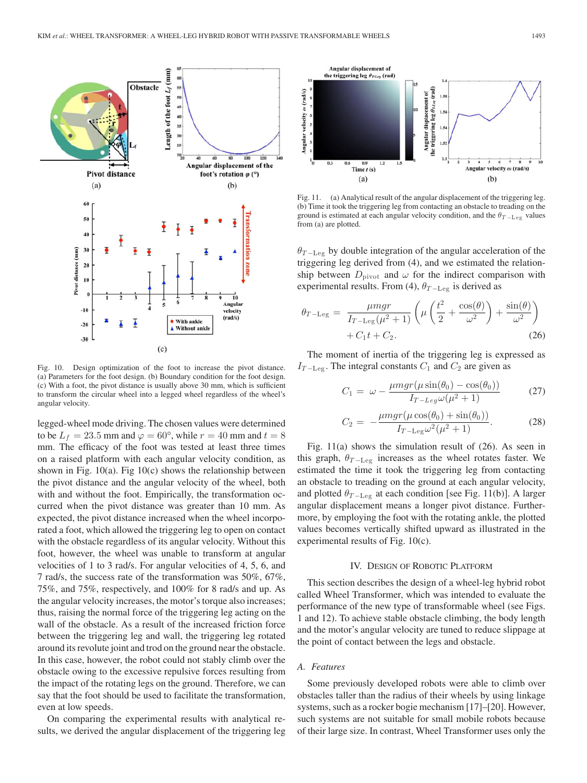

Fig. 10. Design optimization of the foot to increase the pivot distance. (a) Parameters for the foot design. (b) Boundary condition for the foot design. (c) With a foot, the pivot distance is usually above 30 mm, which is sufficient to transform the circular wheel into a legged wheel regardless of the wheel's angular velocity.

legged-wheel mode driving. The chosen values were determined to be  $L_f = 23.5$  mm and  $\varphi = 60^{\circ}$ , while  $r = 40$  mm and  $t = 8$ mm. The efficacy of the foot was tested at least three times on a raised platform with each angular velocity condition, as shown in Fig.  $10(a)$ . Fig  $10(c)$  shows the relationship between the pivot distance and the angular velocity of the wheel, both with and without the foot. Empirically, the transformation occurred when the pivot distance was greater than 10 mm. As expected, the pivot distance increased when the wheel incorporated a foot, which allowed the triggering leg to open on contact with the obstacle regardless of its angular velocity. Without this foot, however, the wheel was unable to transform at angular velocities of 1 to 3 rad/s. For angular velocities of 4, 5, 6, and 7 rad/s, the success rate of the transformation was 50%, 67%, 75%, and 75%, respectively, and 100% for 8 rad/s and up. As the angular velocity increases, the motor's torque also increases; thus, raising the normal force of the triggering leg acting on the wall of the obstacle. As a result of the increased friction force between the triggering leg and wall, the triggering leg rotated around its revolute joint and trod on the ground near the obstacle. In this case, however, the robot could not stably climb over the obstacle owing to the excessive repulsive forces resulting from the impact of the rotating legs on the ground. Therefore, we can say that the foot should be used to facilitate the transformation, even at low speeds.

On comparing the experimental results with analytical results, we derived the angular displacement of the triggering leg



Fig. 11. (a) Analytical result of the angular displacement of the triggering leg. (b) Time it took the triggering leg from contacting an obstacle to treading on the ground is estimated at each angular velocity condition, and the  $\theta_{T-\text{Leg}}$  values from (a) are plotted.

 $\theta_{T-\text{Leg}}$  by double integration of the angular acceleration of the triggering leg derived from (4), and we estimated the relationship between  $D_{\text{pivot}}$  and  $\omega$  for the indirect comparison with experimental results. From (4),  $\theta_{T-\text{Leg}}$  is derived as

$$
\theta_{T-\text{Leg}} = \frac{\mu mgr}{I_{T-\text{Leg}}(\mu^2+1)} \left( \mu \left( \frac{t^2}{2} + \frac{\cos(\theta)}{\omega^2} \right) + \frac{\sin(\theta)}{\omega^2} \right) + C_1 t + C_2. \tag{26}
$$

The moment of inertia of the triggering leg is expressed as  $I_{T-\text{Leg}}$ . The integral constants  $C_1$  and  $C_2$  are given as

$$
C_1 = \omega - \frac{\mu mgr(\mu \sin(\theta_0) - \cos(\theta_0))}{I_{T-Leg}\omega(\mu^2 + 1)}
$$
(27)

$$
C_2 = -\frac{\mu mgr(\mu \cos(\theta_0) + \sin(\theta_0))}{I_{T-\text{Leg}}\omega^2(\mu^2 + 1)}.
$$
 (28)

Fig. 11(a) shows the simulation result of (26). As seen in this graph,  $\theta_{T-\text{Leg}}$  increases as the wheel rotates faster. We estimated the time it took the triggering leg from contacting an obstacle to treading on the ground at each angular velocity, and plotted  $\theta_{T-\text{Leg}}$  at each condition [see Fig. 11(b)]. A larger angular displacement means a longer pivot distance. Furthermore, by employing the foot with the rotating ankle, the plotted values becomes vertically shifted upward as illustrated in the experimental results of Fig. 10(c).

## IV. DESIGN OF ROBOTIC PLATFORM

This section describes the design of a wheel-leg hybrid robot called Wheel Transformer, which was intended to evaluate the performance of the new type of transformable wheel (see Figs. 1 and 12). To achieve stable obstacle climbing, the body length and the motor's angular velocity are tuned to reduce slippage at the point of contact between the legs and obstacle.

## *A. Features*

Some previously developed robots were able to climb over obstacles taller than the radius of their wheels by using linkage systems, such as a rocker bogie mechanism [17]–[20]. However, such systems are not suitable for small mobile robots because of their large size. In contrast, Wheel Transformer uses only the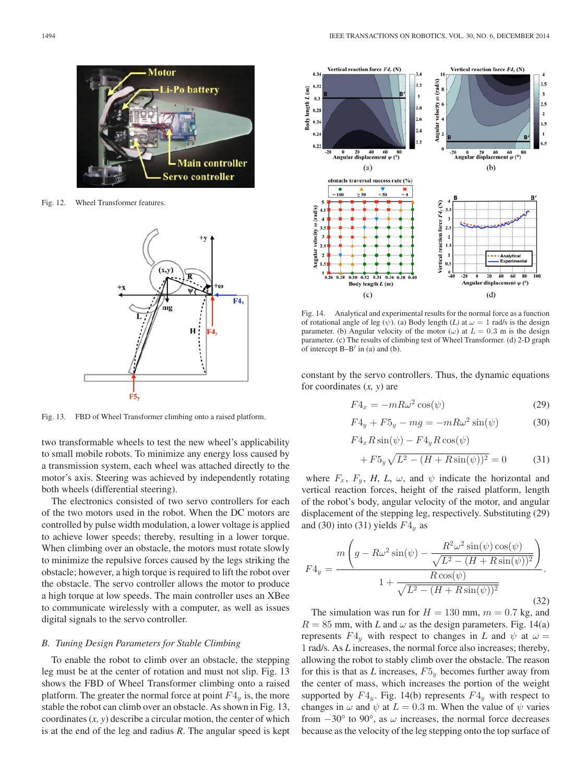

Fig. 12. Wheel Transformer features.



Fig. 13. FBD of Wheel Transformer climbing onto a raised platform.

two transformable wheels to test the new wheel's applicability to small mobile robots. To minimize any energy loss caused by a transmission system, each wheel was attached directly to the motor's axis. Steering was achieved by independently rotating both wheels (differential steering).

The electronics consisted of two servo controllers for each of the two motors used in the robot. When the DC motors are controlled by pulse width modulation, a lower voltage is applied to achieve lower speeds; thereby, resulting in a lower torque. When climbing over an obstacle, the motors must rotate slowly to minimize the repulsive forces caused by the legs striking the obstacle; however, a high torque is required to lift the robot over the obstacle. The servo controller allows the motor to produce a high torque at low speeds. The main controller uses an XBee to communicate wirelessly with a computer, as well as issues digital signals to the servo controller.

### *B. Tuning Design Parameters for Stable Climbing*

To enable the robot to climb over an obstacle, the stepping leg must be at the center of rotation and must not slip. Fig. 13 shows the FBD of Wheel Transformer climbing onto a raised platform. The greater the normal force at point  $F4_y$  is, the more stable the robot can climb over an obstacle. As shown in Fig. 13, coordinates (*x, y*) describe a circular motion, the center of which is at the end of the leg and radius *R*. The angular speed is kept



Fig. 14. Analytical and experimental results for the normal force as a function of rotational angle of leg  $(\psi)$ . (a) Body length (*L*) at  $\omega = 1$  rad/s is the design parameter. (b) Angular velocity of the motor  $(\omega)$  at  $L = 0.3$  m is the design parameter. (c) The results of climbing test of Wheel Transformer. (d) 2-D graph of intercept  $B - B'$  in (a) and (b).

constant by the servo controllers. Thus, the dynamic equations for coordinates (*x, y*) are

$$
F4_x = -mR\omega^2 \cos(\psi) \tag{29}
$$

$$
F4_y + F5_y - mg = -mR\omega^2 \sin(\psi) \tag{30}
$$

$$
F4_x R \sin(\psi) - F4_y R \cos(\psi) + F5_y \sqrt{L^2 - (H + R \sin(\psi))^2} = 0
$$
 (31)

where  $F_x$ ,  $F_y$ , *H*, *L*,  $\omega$ , and  $\psi$  indicate the horizontal and vertical reaction forces, height of the raised platform, length of the robot's body, angular velocity of the motor, and angular displacement of the stepping leg, respectively. Substituting (29) and (30) into (31) yields  $F4_y$  as

$$
F4_y = \frac{m \left( g - R\omega^2 \sin(\psi) - \frac{R^2 \omega^2 \sin(\psi) \cos(\psi)}{\sqrt{L^2 - (H + R \sin(\psi))^2}} \right)}{1 + \frac{R \cos(\psi)}{\sqrt{L^2 - (H + R \sin(\psi))^2}}}.
$$
(32)

The simulation was run for  $H = 130$  mm,  $m = 0.7$  kg, and  $R = 85$  mm, with *L* and  $\omega$  as the design parameters. Fig. 14(a) represents  $F4_{\nu}$  with respect to changes in *L* and  $\psi$  at  $\omega =$ 1 rad/s. As *L* increases, the normal force also increases; thereby, allowing the robot to stably climb over the obstacle. The reason for this is that as  $L$  increases,  $F5<sub>y</sub>$  becomes further away from the center of mass, which increases the portion of the weight supported by  $F4_y$ . Fig. 14(b) represents  $F4_y$  with respect to changes in  $\omega$  and  $\psi$  at  $L = 0.3$  m. When the value of  $\psi$  varies from  $-30^{\circ}$  to 90°, as  $\omega$  increases, the normal force decreases because as the velocity of the leg stepping onto the top surface of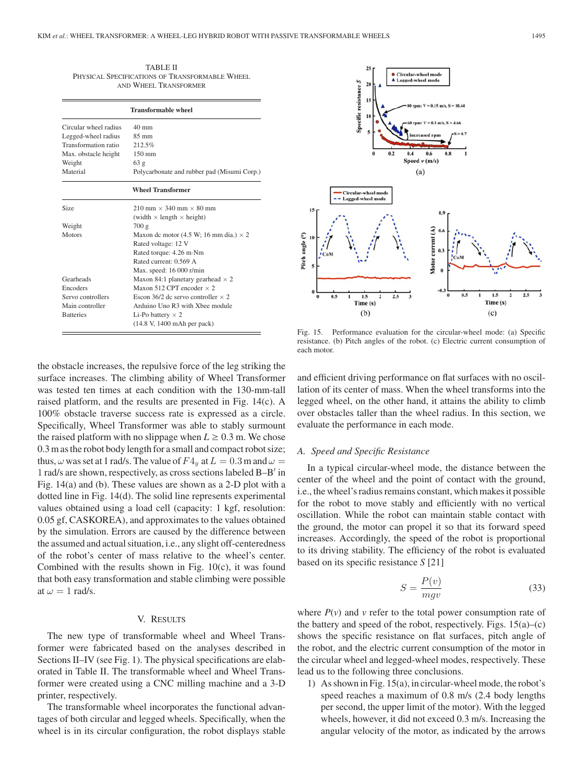| ۰,<br>٧ | ×<br>v |
|---------|--------|
|         |        |

| TABLE II                                       |
|------------------------------------------------|
| PHYSICAL SPECIFICATIONS OF TRANSFORMABLE WHEEL |
| AND WHEEL TRANSFORMER                          |
|                                                |

| <b>Transformable wheel</b> |                                                             |  |  |
|----------------------------|-------------------------------------------------------------|--|--|
| Circular wheel radius      | $40 \text{ mm}$                                             |  |  |
| Legged-wheel radius        | $85 \text{ mm}$                                             |  |  |
| Transformation ratio       | 212.5%                                                      |  |  |
| Max. obstacle height       | $150 \text{ mm}$                                            |  |  |
| Weight                     | 63 g                                                        |  |  |
| Material                   | Polycarbonate and rubber pad (Misumi Corp.)                 |  |  |
|                            | <b>Wheel Transformer</b>                                    |  |  |
| Size                       | $210 \text{ mm} \times 340 \text{ mm} \times 80 \text{ mm}$ |  |  |
|                            | (width $\times$ length $\times$ height)                     |  |  |
| Weight                     | 700g                                                        |  |  |
| <b>Motors</b>              | Maxon dc motor (4.5 W; 16 mm dia.) $\times$ 2               |  |  |
|                            | Rated voltage: 12 V                                         |  |  |
|                            | Rated torque: 4.26 m·Nm                                     |  |  |
|                            | Rated current: 0.569 A                                      |  |  |
|                            | Max. speed: 16 000 r/min                                    |  |  |
| Gearheads                  | Maxon 84:1 planetary gearhead $\times$ 2                    |  |  |
| Encoders                   | Maxon 512 CPT encoder $\times$ 2                            |  |  |
| Servo controllers          | Escon 36/2 dc servo controller $\times$ 2                   |  |  |
| Main controller            | Arduino Uno R3 with Xbee module                             |  |  |
| <b>Batteries</b>           | Li-Po battery $\times$ 2                                    |  |  |
|                            | $(14.8 V, 1400$ mAh per pack)                               |  |  |
|                            |                                                             |  |  |

the obstacle increases, the repulsive force of the leg striking the surface increases. The climbing ability of Wheel Transformer was tested ten times at each condition with the 130-mm-tall raised platform, and the results are presented in Fig. 14(c). A 100% obstacle traverse success rate is expressed as a circle. Specifically, Wheel Transformer was able to stably surmount the raised platform with no slippage when  $L \geq 0.3$  m. We chose 0.3 m as the robot body length for a small and compact robot size; thus,  $\omega$  was set at 1 rad/s. The value of  $F4_u$  at  $L = 0.3$  m and  $\omega =$ 1 rad/s are shown, respectively, as cross sections labeled B–B in Fig. 14(a) and (b). These values are shown as a 2-D plot with a dotted line in Fig. 14(d). The solid line represents experimental values obtained using a load cell (capacity: 1 kgf, resolution: 0.05 gf, CASKOREA), and approximates to the values obtained by the simulation. Errors are caused by the difference between the assumed and actual situation, i.e., any slight off-centeredness of the robot's center of mass relative to the wheel's center. Combined with the results shown in Fig. 10(c), it was found that both easy transformation and stable climbing were possible at  $\omega = 1$  rad/s.

# V. RESULTS

The new type of transformable wheel and Wheel Transformer were fabricated based on the analyses described in Sections II–IV (see Fig. 1). The physical specifications are elaborated in Table II. The transformable wheel and Wheel Transformer were created using a CNC milling machine and a 3-D printer, respectively.

The transformable wheel incorporates the functional advantages of both circular and legged wheels. Specifically, when the wheel is in its circular configuration, the robot displays stable



Fig. 15. Performance evaluation for the circular-wheel mode: (a) Specific resistance. (b) Pitch angles of the robot. (c) Electric current consumption of each motor.

and efficient driving performance on flat surfaces with no oscillation of its center of mass. When the wheel transforms into the legged wheel, on the other hand, it attains the ability to climb over obstacles taller than the wheel radius. In this section, we evaluate the performance in each mode.

# *A. Speed and Specific Resistance*

In a typical circular-wheel mode, the distance between the center of the wheel and the point of contact with the ground, i.e., the wheel's radius remains constant, which makes it possible for the robot to move stably and efficiently with no vertical oscillation. While the robot can maintain stable contact with the ground, the motor can propel it so that its forward speed increases. Accordingly, the speed of the robot is proportional to its driving stability. The efficiency of the robot is evaluated based on its specific resistance *S* [21]

$$
S = \frac{P(v)}{mgv} \tag{33}
$$

where  $P(v)$  and *v* refer to the total power consumption rate of the battery and speed of the robot, respectively. Figs.  $15(a)$ –(c) shows the specific resistance on flat surfaces, pitch angle of the robot, and the electric current consumption of the motor in the circular wheel and legged-wheel modes, respectively. These lead us to the following three conclusions.

1) As shown in Fig. 15(a), in circular-wheel mode, the robot's speed reaches a maximum of 0.8 m/s (2.4 body lengths per second, the upper limit of the motor). With the legged wheels, however, it did not exceed 0.3 m/s. Increasing the angular velocity of the motor, as indicated by the arrows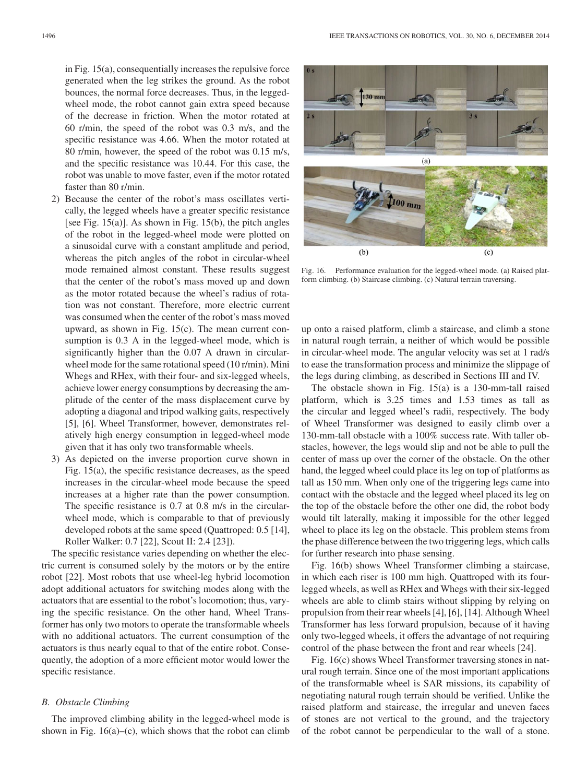in Fig. 15(a), consequentially increases the repulsive force generated when the leg strikes the ground. As the robot bounces, the normal force decreases. Thus, in the leggedwheel mode, the robot cannot gain extra speed because of the decrease in friction. When the motor rotated at 60 r/min, the speed of the robot was 0.3 m/s, and the specific resistance was 4.66. When the motor rotated at 80 r/min, however, the speed of the robot was 0.15 m/s, and the specific resistance was 10.44. For this case, the robot was unable to move faster, even if the motor rotated faster than 80 r/min.

- 2) Because the center of the robot's mass oscillates vertically, the legged wheels have a greater specific resistance [see Fig. 15(a)]. As shown in Fig. 15(b), the pitch angles of the robot in the legged-wheel mode were plotted on a sinusoidal curve with a constant amplitude and period, whereas the pitch angles of the robot in circular-wheel mode remained almost constant. These results suggest that the center of the robot's mass moved up and down as the motor rotated because the wheel's radius of rotation was not constant. Therefore, more electric current was consumed when the center of the robot's mass moved upward, as shown in Fig. 15(c). The mean current consumption is 0.3 A in the legged-wheel mode, which is significantly higher than the 0.07 A drawn in circularwheel mode for the same rotational speed (10 r/min). Mini Whegs and RHex, with their four- and six-legged wheels, achieve lower energy consumptions by decreasing the amplitude of the center of the mass displacement curve by adopting a diagonal and tripod walking gaits, respectively [5], [6]. Wheel Transformer, however, demonstrates relatively high energy consumption in legged-wheel mode given that it has only two transformable wheels.
- 3) As depicted on the inverse proportion curve shown in Fig. 15(a), the specific resistance decreases, as the speed increases in the circular-wheel mode because the speed increases at a higher rate than the power consumption. The specific resistance is 0.7 at 0.8 m/s in the circularwheel mode, which is comparable to that of previously developed robots at the same speed (Quattroped: 0.5 [14], Roller Walker: 0.7 [22], Scout II: 2.4 [23]).

The specific resistance varies depending on whether the electric current is consumed solely by the motors or by the entire robot [22]. Most robots that use wheel-leg hybrid locomotion adopt additional actuators for switching modes along with the actuators that are essential to the robot's locomotion; thus, varying the specific resistance. On the other hand, Wheel Transformer has only two motors to operate the transformable wheels with no additional actuators. The current consumption of the actuators is thus nearly equal to that of the entire robot. Consequently, the adoption of a more efficient motor would lower the specific resistance.

# *B. Obstacle Climbing*

The improved climbing ability in the legged-wheel mode is shown in Fig.  $16(a)$ –(c), which shows that the robot can climb



Fig. 16. Performance evaluation for the legged-wheel mode. (a) Raised platform climbing. (b) Staircase climbing. (c) Natural terrain traversing.

up onto a raised platform, climb a staircase, and climb a stone in natural rough terrain, a neither of which would be possible in circular-wheel mode. The angular velocity was set at 1 rad/s to ease the transformation process and minimize the slippage of the legs during climbing, as described in Sections III and IV.

The obstacle shown in Fig. 15(a) is a 130-mm-tall raised platform, which is 3.25 times and 1.53 times as tall as the circular and legged wheel's radii, respectively. The body of Wheel Transformer was designed to easily climb over a 130-mm-tall obstacle with a 100% success rate. With taller obstacles, however, the legs would slip and not be able to pull the center of mass up over the corner of the obstacle. On the other hand, the legged wheel could place its leg on top of platforms as tall as 150 mm. When only one of the triggering legs came into contact with the obstacle and the legged wheel placed its leg on the top of the obstacle before the other one did, the robot body would tilt laterally, making it impossible for the other legged wheel to place its leg on the obstacle. This problem stems from the phase difference between the two triggering legs, which calls for further research into phase sensing.

Fig. 16(b) shows Wheel Transformer climbing a staircase, in which each riser is 100 mm high. Quattroped with its fourlegged wheels, as well as RHex and Whegs with their six-legged wheels are able to climb stairs without slipping by relying on propulsion from their rear wheels [4], [6], [14]. Although Wheel Transformer has less forward propulsion, because of it having only two-legged wheels, it offers the advantage of not requiring control of the phase between the front and rear wheels [24].

Fig. 16(c) shows Wheel Transformer traversing stones in natural rough terrain. Since one of the most important applications of the transformable wheel is SAR missions, its capability of negotiating natural rough terrain should be verified. Unlike the raised platform and staircase, the irregular and uneven faces of stones are not vertical to the ground, and the trajectory of the robot cannot be perpendicular to the wall of a stone.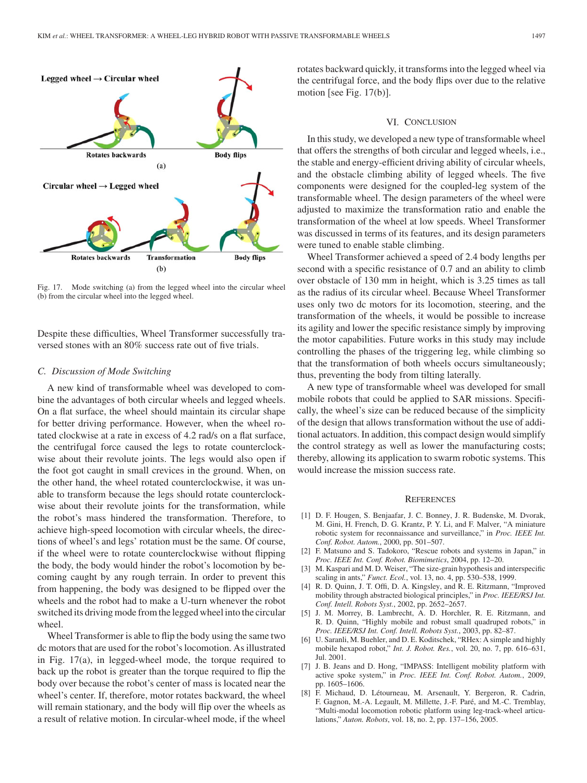

Fig. 17. Mode switching (a) from the legged wheel into the circular wheel (b) from the circular wheel into the legged wheel.

Despite these difficulties, Wheel Transformer successfully traversed stones with an 80% success rate out of five trials.

## *C. Discussion of Mode Switching*

A new kind of transformable wheel was developed to combine the advantages of both circular wheels and legged wheels. On a flat surface, the wheel should maintain its circular shape for better driving performance. However, when the wheel rotated clockwise at a rate in excess of 4.2 rad/s on a flat surface, the centrifugal force caused the legs to rotate counterclockwise about their revolute joints. The legs would also open if the foot got caught in small crevices in the ground. When, on the other hand, the wheel rotated counterclockwise, it was unable to transform because the legs should rotate counterclockwise about their revolute joints for the transformation, while the robot's mass hindered the transformation. Therefore, to achieve high-speed locomotion with circular wheels, the directions of wheel's and legs' rotation must be the same. Of course, if the wheel were to rotate counterclockwise without flipping the body, the body would hinder the robot's locomotion by becoming caught by any rough terrain. In order to prevent this from happening, the body was designed to be flipped over the wheels and the robot had to make a U-turn whenever the robot switched its driving mode from the legged wheel into the circular wheel.

Wheel Transformer is able to flip the body using the same two dc motors that are used for the robot's locomotion. As illustrated in Fig. 17(a), in legged-wheel mode, the torque required to back up the robot is greater than the torque required to flip the body over because the robot's center of mass is located near the wheel's center. If, therefore, motor rotates backward, the wheel will remain stationary, and the body will flip over the wheels as a result of relative motion. In circular-wheel mode, if the wheel

rotates backward quickly, it transforms into the legged wheel via the centrifugal force, and the body flips over due to the relative motion [see Fig. 17(b)].

#### VI. CONCLUSION

In this study, we developed a new type of transformable wheel that offers the strengths of both circular and legged wheels, i.e., the stable and energy-efficient driving ability of circular wheels, and the obstacle climbing ability of legged wheels. The five components were designed for the coupled-leg system of the transformable wheel. The design parameters of the wheel were adjusted to maximize the transformation ratio and enable the transformation of the wheel at low speeds. Wheel Transformer was discussed in terms of its features, and its design parameters were tuned to enable stable climbing.

Wheel Transformer achieved a speed of 2.4 body lengths per second with a specific resistance of 0.7 and an ability to climb over obstacle of 130 mm in height, which is 3.25 times as tall as the radius of its circular wheel. Because Wheel Transformer uses only two dc motors for its locomotion, steering, and the transformation of the wheels, it would be possible to increase its agility and lower the specific resistance simply by improving the motor capabilities. Future works in this study may include controlling the phases of the triggering leg, while climbing so that the transformation of both wheels occurs simultaneously; thus, preventing the body from tilting laterally.

A new type of transformable wheel was developed for small mobile robots that could be applied to SAR missions. Specifically, the wheel's size can be reduced because of the simplicity of the design that allows transformation without the use of additional actuators. In addition, this compact design would simplify the control strategy as well as lower the manufacturing costs; thereby, allowing its application to swarm robotic systems. This would increase the mission success rate.

#### **REFERENCES**

- [1] D. F. Hougen, S. Benjaafar, J. C. Bonney, J. R. Budenske, M. Dvorak, M. Gini, H. French, D. G. Krantz, P. Y. Li, and F. Malver, "A miniature robotic system for reconnaissance and surveillance," in *Proc. IEEE Int. Conf. Robot. Autom.*, 2000, pp. 501–507.
- [2] F. Matsuno and S. Tadokoro, "Rescue robots and systems in Japan," in *Proc. IEEE Int. Conf. Robot. Biomimetics*, 2004, pp. 12–20.
- [3] M. Kaspari and M. D. Weiser, "The size-grain hypothesis and interspecific scaling in ants," *Funct. Ecol.*, vol. 13, no. 4, pp. 530–538, 1999.
- [4] R. D. Quinn, J. T. Offi, D. A. Kingsley, and R. E. Ritzmann, "Improved mobility through abstracted biological principles," in *Proc. IEEE/RSJ Int. Conf. Intell. Robots Syst.*, 2002, pp. 2652–2657.
- [5] J. M. Morrey, B. Lambrecht, A. D. Horchler, R. E. Ritzmann, and R. D. Quinn, "Highly mobile and robust small quadruped robots," in *Proc. IEEE/RSJ Int. Conf. Intell. Robots Syst.*, 2003, pp. 82–87.
- [6] U. Saranli, M. Buehler, and D. E. Koditschek, "RHex: A simple and highly mobile hexapod robot," *Int. J. Robot. Res.*, vol. 20, no. 7, pp. 616–631, Jul. 2001.
- [7] J. B. Jeans and D. Hong, "IMPASS: Intelligent mobility platform with active spoke system," in *Proc. IEEE Int. Conf. Robot. Autom.*, 2009, pp. 1605–1606.
- [8] F. Michaud, D. Létourneau, M. Arsenault, Y. Bergeron, R. Cadrin, F. Gagnon, M.-A. Legault, M. Millette, J.-F. Paré, and M.-C. Tremblay, "Multi-modal locomotion robotic platform using leg-track-wheel articulations," *Auton. Robots*, vol. 18, no. 2, pp. 137–156, 2005.